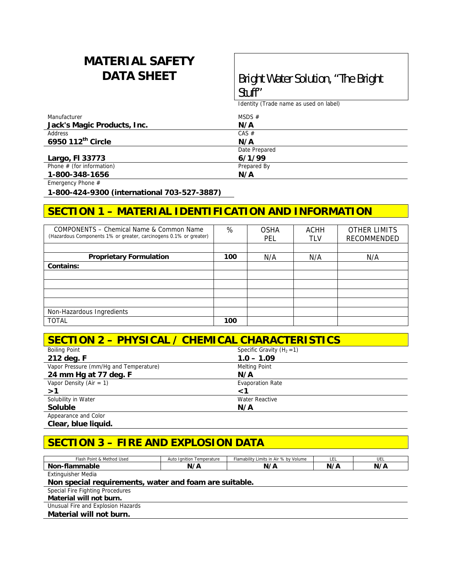# **MATERIAL SAFETY**

# **DATA SHEET Bright Water Solution, "The Bright Stuff"**

Identity (Trade name as used on label)

| Manufacturer                | MSDS $#$      |  |
|-----------------------------|---------------|--|
| Jack's Magic Products, Inc. | N/A           |  |
| Address                     | CAS #         |  |
| 6950 112th Circle           | N/A           |  |
|                             | Date Prepared |  |
| Largo, FI 33773             | 6/1/99        |  |
| Phone $#$ (for information) | Prepared By   |  |
| 1-800-348-1656              | N/A           |  |

Emergency Phone #

**1-800-424-9300 (international 703-527-3887)** 

#### **SECTION 1 – MATERIAL IDENTIFICATION AND INFORMATION**

| COMPONENTS – Chemical Name & Common Name<br>(Hazardous Components 1% or greater, carcinogens 0.1% or greater) | %   | <b>OSHA</b><br>PEL | <b>ACHH</b><br>TLV | <b>OTHER LIMITS</b><br>RECOMMENDED |
|---------------------------------------------------------------------------------------------------------------|-----|--------------------|--------------------|------------------------------------|
|                                                                                                               |     |                    |                    |                                    |
| <b>Proprietary Formulation</b>                                                                                | 100 | N/A                | N/A                | N/A                                |
| Contains:                                                                                                     |     |                    |                    |                                    |
|                                                                                                               |     |                    |                    |                                    |
|                                                                                                               |     |                    |                    |                                    |
|                                                                                                               |     |                    |                    |                                    |
|                                                                                                               |     |                    |                    |                                    |
| Non-Hazardous Ingredients                                                                                     |     |                    |                    |                                    |
| <b>TOTAL</b>                                                                                                  | 100 |                    |                    |                                    |

| <b>SECTION 2 - PHYSICAL / CHEMICAL CHARACTERISTICS</b> |                              |  |
|--------------------------------------------------------|------------------------------|--|
| <b>Boiling Point</b>                                   | Specific Gravity $(H_2 = 1)$ |  |
| 212 deg. F                                             | $1.0 - 1.09$                 |  |
| Vapor Pressure (mm/Hq and Temperature)                 | <b>Melting Point</b>         |  |
| 24 mm Hg at 77 deg. F                                  | N/A                          |  |
| Vapor Density (Air = 1)                                | <b>Evaporation Rate</b>      |  |
| >1                                                     | <1                           |  |
| Solubility in Water                                    | Water Reactive               |  |
| <b>Soluble</b>                                         | N/A                          |  |
| Appearance and Color                                   |                              |  |

**Clear, blue liquid.** 

## **SECTION 3 – FIRE AND EXPLOSION DATA**

| Flash Point & Method Used | Auto Ignition Temperature | Flamability Limits in Air % by Volume | ᄔ   | UEL |
|---------------------------|---------------------------|---------------------------------------|-----|-----|
| Non-flammable             | N/A                       | N/A                                   | N/A | N/A |
| <b>Extinguisher Media</b> |                           |                                       |     |     |

**Non special requirements, water and foam are suitable.** 

Special Fire Fighting Procedures

**Material will not burn.** 

Unusual Fire and Explosion Hazards

**Material will not burn.**